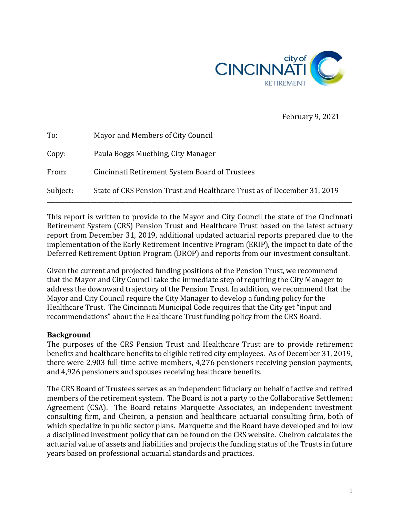

February 9, 2021

| To:      | Mayor and Members of City Council                                       |
|----------|-------------------------------------------------------------------------|
| Copy:    | Paula Boggs Muething, City Manager                                      |
| From:    | Cincinnati Retirement System Board of Trustees                          |
| Subject: | State of CRS Pension Trust and Healthcare Trust as of December 31, 2019 |

This report is written to provide to the Mayor and City Council the state of the Cincinnati Retirement System (CRS) Pension Trust and Healthcare Trust based on the latest actuary report from December 31, 2019, additional updated actuarial reports prepared due to the implementation of the Early Retirement Incentive Program (ERIP), the impact to date of the Deferred Retirement Option Program (DROP) and reports from our investment consultant.

Given the current and projected funding positions of the Pension Trust, we recommend that the Mayor and City Council take the immediate step of requiring the City Manager to address the downward trajectory of the Pension Trust. In addition, we recommend that the Mayor and City Council require the City Manager to develop a funding policy for the Healthcare Trust. The Cincinnati Municipal Code requires that the City get "input and recommendations" about the Healthcare Trust funding policy from the CRS Board.

## **Background**

The purposes of the CRS Pension Trust and Healthcare Trust are to provide retirement benefits and healthcare benefits to eligible retired city employees. As of December 31, 2019, there were 2,903 full-time active members, 4,276 pensioners receiving pension payments, and 4,926 pensioners and spouses receiving healthcare benefits.

The CRS Board of Trustees serves as an independent fiduciary on behalf of active and retired members of the retirement system. The Board is not a party to the Collaborative Settlement Agreement (CSA). The Board retains Marquette Associates, an independent investment consulting firm, and Cheiron, a pension and healthcare actuarial consulting firm, both of which specialize in public sector plans. Marquette and the Board have developed and follow a disciplined investment policy that can be found on the CRS website. Cheiron calculates the actuarial value of assets and liabilities and projects the funding status of the Trusts in future years based on professional actuarial standards and practices.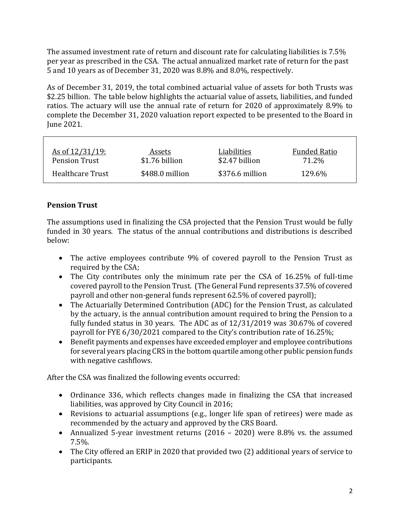The assumed investment rate of return and discount rate for calculating liabilities is 7.5% per year as prescribed in the CSA. The actual annualized market rate of return for the past 5 and 10 years as of December 31, 2020 was 8.8% and 8.0%, respectively.

As of December 31, 2019, the total combined actuarial value of assets for both Trusts was \$2.25 billion. The table below highlights the actuarial value of assets, liabilities, and funded ratios. The actuary will use the annual rate of return for 2020 of approximately 8.9% to complete the December 31, 2020 valuation report expected to be presented to the Board in June 2021.

| As of $12/31/19$ :   | Assets          | Liabilities     | <b>Funded Ratio</b> |
|----------------------|-----------------|-----------------|---------------------|
| <b>Pension Trust</b> | \$1.76 billion  | \$2.47 billion  | 71.2%               |
| Healthcare Trust     | \$488.0 million | \$376.6 million | 129.6%              |

# **Pension Trust**

The assumptions used in finalizing the CSA projected that the Pension Trust would be fully funded in 30 years. The status of the annual contributions and distributions is described below:

- The active employees contribute 9% of covered payroll to the Pension Trust as required by the CSA;
- The City contributes only the minimum rate per the CSA of 16.25% of full-time covered payroll to the Pension Trust. (The General Fund represents 37.5% of covered payroll and other non-general funds represent 62.5% of covered payroll);
- The Actuarially Determined Contribution (ADC) for the Pension Trust, as calculated by the actuary, is the annual contribution amount required to bring the Pension to a fully funded status in 30 years. The ADC as of 12/31/2019 was 30.67% of covered payroll for FYE 6/30/2021 compared to the City's contribution rate of 16.25%;
- Benefit payments and expenses have exceeded employer and employee contributions for several years placing CRSin the bottom quartile among other public pension funds with negative cashflows.

After the CSA was finalized the following events occurred:

- Ordinance 336, which reflects changes made in finalizing the CSA that increased liabilities, was approved by City Council in 2016;
- Revisions to actuarial assumptions (e.g., longer life span of retirees) were made as recommended by the actuary and approved by the CRS Board.
- Annualized 5-year investment returns (2016 2020) were 8.8% vs. the assumed 7.5%.
- The City offered an ERIP in 2020 that provided two (2) additional years of service to participants.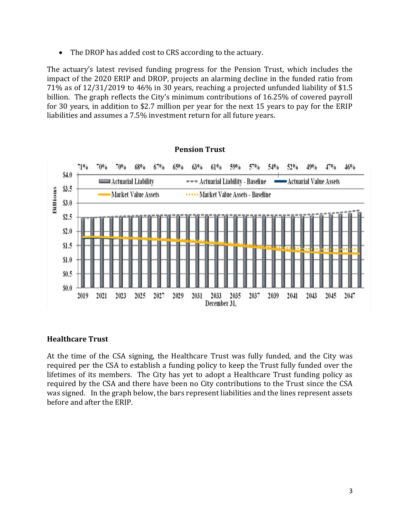• The DROP has added cost to CRS according to the actuary.

The actuary's latest revised funding progress for the Pension Trust, which includes the impact of the 2020 ERIP and DROP, projects an alarming decline in the funded ratio from 71% as of 12/31/2019 to 46% in 30 years, reaching a projected unfunded liability of \$1.5 billion. The graph reflects the City's minimum contributions of 16.25% of covered payroll for 30 years, in addition to \$2.7 million per year for the next 15 years to pay for the ERIP liabilities and assumes a 7.5% investment return for all future years.



#### **Healthcare Trust**

At the time of the CSA signing, the Healthcare Trust was fully funded, and the City was required per the CSA to establish a funding policy to keep the Trust fully funded over the lifetimes of its members. The City has yet to adopt a Healthcare Trust funding policy as required by the CSA and there have been no City contributions to the Trust since the CSA was signed. In the graph below, the bars represent liabilities and the lines represent assets before and after the ERIP.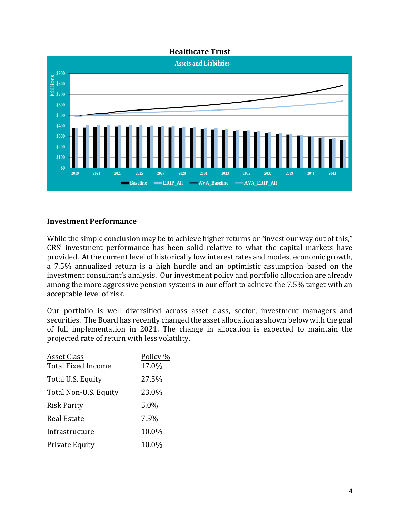

#### **Investment Performance**

While the simple conclusion may be to achieve higher returns or "invest our way out of this," CRS' investment performance has been solid relative to what the capital markets have provided. At the current level of historically low interest rates and modest economic growth, a 7.5% annualized return is a high hurdle and an optimistic assumption based on the investment consultant's analysis. Our investment policy and portfolio allocation are already among the more aggressive pension systems in our effort to achieve the 7.5% target with an acceptable level of risk.

Our portfolio is well diversified across asset class, sector, investment managers and securities. The Board has recently changed the asset allocation as shown below with the goal of full implementation in 2021. The change in allocation is expected to maintain the projected rate of return with less volatility.

| <u>Asset Class</u><br><b>Total Fixed Income</b> | Policy %<br>17.0% |
|-------------------------------------------------|-------------------|
| Total U.S. Equity                               | 27.5%             |
| Total Non-U.S. Equity                           | 23.0%             |
| <b>Risk Parity</b>                              | 5.0%              |
| Real Estate                                     | 7.5%              |
| Infrastructure                                  | 10.0%             |
| Private Equity                                  | 10.0%             |